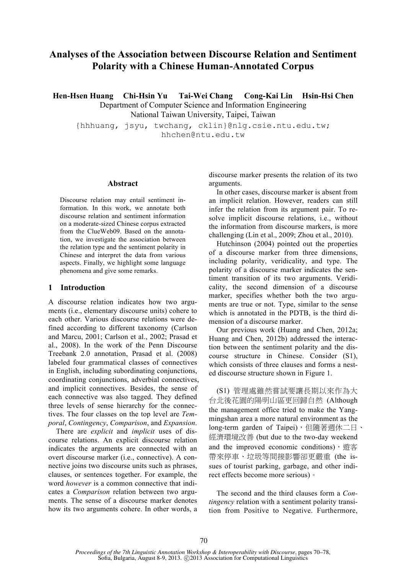# **Analyses of the Association between Discourse Relation and Sentiment Polarity with a Chinese Human-Annotated Corpus**

**Hen-Hsen Huang Chi-Hsin Yu Tai-Wei Chang Cong-Kai Lin Hsin-Hsi Chen**

Department of Computer Science and Information Engineering

National Taiwan University, Taipei, Taiwan

{hhhuang, jsyu, twchang, cklin}@nlg.csie.ntu.edu.tw; hhchen@ntu.edu.tw

#### **Abstract**

Discourse relation may entail sentiment information. In this work, we annotate both discourse relation and sentiment information on a moderate-sized Chinese corpus extracted from the ClueWeb09. Based on the annotation, we investigate the association between the relation type and the sentiment polarity in Chinese and interpret the data from various aspects. Finally, we highlight some language phenomena and give some remarks.

## **1 Introduction**

A discourse relation indicates how two arguments (i.e., elementary discourse units) cohere to each other. Various discourse relations were defined according to different taxonomy (Carlson and Marcu, 2001; Carlson et al., 2002; Prasad et al., 2008). In the work of the Penn Discourse Treebank 2.0 annotation, Prasad et al. (2008) labeled four grammatical classes of connectives in English, including subordinating conjunctions, coordinating conjunctions, adverbial connectives, and implicit connectives. Besides, the sense of each connective was also tagged. They defined three levels of sense hierarchy for the connectives. The four classes on the top level are *Temporal*, *Contingency*, *Comparison*, and *Expansion*.

There are *explicit* and *implicit* uses of discourse relations. An explicit discourse relation indicates the arguments are connected with an overt discourse marker (i.e., connective). A connective joins two discourse units such as phrases, clauses, or sentences together. For example, the word *however* is a common connective that indicates a *Comparison* relation between two arguments. The sense of a discourse marker denotes how its two arguments cohere. In other words, a discourse marker presents the relation of its two arguments.

In other cases, discourse marker is absent from an implicit relation. However, readers can still infer the relation from its argument pair. To resolve implicit discourse relations, i.e., without the information from discourse markers, is more challenging (Lin et al., 2009; Zhou et al., 2010).

Hutchinson (2004) pointed out the properties of a discourse marker from three dimensions, including polarity, veridicality, and type. The polarity of a discourse marker indicates the sentiment transition of its two arguments. Veridicality, the second dimension of a discourse marker, specifies whether both the two arguments are true or not. Type, similar to the sense which is annotated in the PDTB, is the third dimension of a discourse marker.

Our previous work (Huang and Chen, 2012a; Huang and Chen, 2012b) addressed the interaction between the sentiment polarity and the discourse structure in Chinese. Consider (S1), which consists of three clauses and forms a nested discourse structure shown in Figure 1.

(S1) 管理處雖然嘗試要讓長期以來作為大 台北後花園的陽明山區更回歸自然 (Although the management office tried to make the Yangmingshan area a more natural environment as the long-term garden of Taipei),但隨著週休二日、 經濟環境改善 (but due to the two-day weekend and the improved economic conditions), 遊客 帶來停車、垃圾等間接影響卻更嚴重 (the issues of tourist parking, garbage, and other indirect effects become more serious)。

The second and the third clauses form a *Contingency* relation with a sentiment polarity transition from Positive to Negative. Furthermore,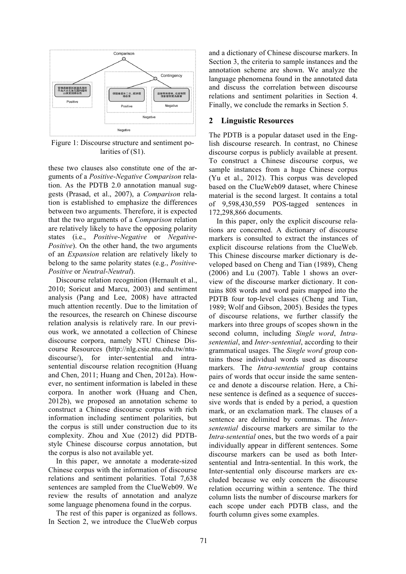

Figure 1: Discourse structure and sentiment polarities of  $(S1)$ .

these two clauses also constitute one of the arguments of a *Positive*-*Negative Comparison* relation. As the PDTB 2.0 annotation manual suggests (Prasad, et al., 2007), a *Comparison* relation is established to emphasize the differences between two arguments. Therefore, it is expected that the two arguments of a *Comparison* relation are relatively likely to have the opposing polarity states (i.e., *Positive*-*Negative* or *Negative*-*Positive*). On the other hand, the two arguments of an *Expansion* relation are relatively likely to belong to the same polarity states (e.g., *Positive*-*Positive* or *Neutral*-*Neutral*).

Discourse relation recognition (Hernault et al., 2010; Soricut and Marcu, 2003) and sentiment analysis (Pang and Lee, 2008) have attracted much attention recently. Due to the limitation of the resources, the research on Chinese discourse relation analysis is relatively rare. In our previous work, we annotated a collection of Chinese discourse corpora, namely NTU Chinese Discourse Resources (http://nlg.csie.ntu.edu.tw/ntudiscourse/), for inter-sentential and intrasentential discourse relation recognition (Huang and Chen, 2011; Huang and Chen, 2012a). However, no sentiment information is labeled in these corpora. In another work (Huang and Chen, 2012b), we proposed an annotation scheme to construct a Chinese discourse corpus with rich information including sentiment polarities, but the corpus is still under construction due to its complexity. Zhou and Xue (2012) did PDTBstyle Chinese discourse corpus annotation, but the corpus is also not available yet.

In this paper, we annotate a moderate-sized Chinese corpus with the information of discourse relations and sentiment polarities. Total 7,638 sentences are sampled from the ClueWeb09. We review the results of annotation and analyze some language phenomena found in the corpus.

The rest of this paper is organized as follows. In Section 2, we introduce the ClueWeb corpus and a dictionary of Chinese discourse markers. In Section 3, the criteria to sample instances and the annotation scheme are shown. We analyze the language phenomena found in the annotated data and discuss the correlation between discourse relations and sentiment polarities in Section 4. Finally, we conclude the remarks in Section 5.

## **2 Linguistic Resources**

The PDTB is a popular dataset used in the English discourse research. In contrast, no Chinese discourse corpus is publicly available at present. To construct a Chinese discourse corpus, we sample instances from a huge Chinese corpus (Yu et al., 2012). This corpus was developed based on the ClueWeb09 dataset, where Chinese material is the second largest. It contains a total of 9,598,430,559 POS-tagged sentences in 172,298,866 documents.

In this paper, only the explicit discourse relations are concerned. A dictionary of discourse markers is consulted to extract the instances of explicit discourse relations from the ClueWeb. This Chinese discourse marker dictionary is developed based on Cheng and Tian (1989), Cheng  $(2006)$  and Lu  $(2007)$ . Table 1 shows an overview of the discourse marker dictionary. It contains 808 words and word pairs mapped into the PDTB four top-level classes (Cheng and Tian, 1989; Wolf and Gibson, 2005). Besides the types of discourse relations, we further classify the markers into three groups of scopes shown in the second column, including *Single word*, *Intrasentential*, and *Inter-sentential*, according to their grammatical usages. The *Single word* group contains those individual words used as discourse markers. The *Intra-sentential* group contains pairs of words that occur inside the same sentence and denote a discourse relation. Here, a Chinese sentence is defined as a sequence of successive words that is ended by a period, a question mark, or an exclamation mark. The clauses of a sentence are delimited by commas. The *Intersentential* discourse markers are similar to the *Intra-sentential* ones, but the two words of a pair individually appear in different sentences. Some discourse markers can be used as both Intersentential and Intra-sentential. In this work, the Inter-sentential only discourse markers are excluded because we only concern the discourse relation occurring within a sentence. The third column lists the number of discourse markers for each scope under each PDTB class, and the fourth column gives some examples.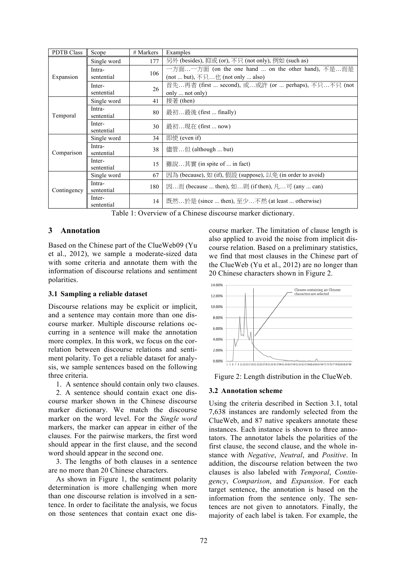| <b>PDTB Class</b> | Scope       | # Markers | Examples                                                                                  |  |  |  |  |
|-------------------|-------------|-----------|-------------------------------------------------------------------------------------------|--|--|--|--|
|                   | Single word | 177       | 另外 (besides), 抑或 (or), 不只 (not only), 例如 (such as)                                        |  |  |  |  |
|                   | Intra-      | 106       | 一方面一方面 (on the one hand  on the other hand), 不是而是                                         |  |  |  |  |
| Expansion         | sentential  |           | (not  but), $\overline{\wedge} \overline{\wedge}$ $\underline{\uparrow}$ (not only  also) |  |  |  |  |
|                   | Inter-      | 26        | 首先再者 (first  second), 或或許 (or  perhaps), 不只不只 (not )                                      |  |  |  |  |
|                   | sentential  |           | only  not only)                                                                           |  |  |  |  |
|                   | Single word | 41        | 接著 (then)                                                                                 |  |  |  |  |
|                   | Intra-      | 80        | 最初最後 (first  finally)                                                                     |  |  |  |  |
| Temporal          | sentential  |           |                                                                                           |  |  |  |  |
|                   | Inter-      | 30        | 最初現在 (first  now)                                                                         |  |  |  |  |
|                   | sentential  |           |                                                                                           |  |  |  |  |
|                   | Single word | 34        | 即使 (even if)                                                                              |  |  |  |  |
|                   | Intra-      | 38        | 儘管但 (although  but)                                                                       |  |  |  |  |
| Comparison        | sentential  |           |                                                                                           |  |  |  |  |
|                   | Inter-      | 15        | 雖說其實 (in spite of  in fact)                                                               |  |  |  |  |
|                   | sentential  |           |                                                                                           |  |  |  |  |
|                   | Single word | 67        | 因為 (because), 如 (if), 假設 (suppose), 以免 (in order to avoid)                                |  |  |  |  |
|                   | Intra-      | 180       | 因而 (because  then), 如則 (if then), 凡可 (any  can)                                           |  |  |  |  |
| Contingency       | sentential  |           |                                                                                           |  |  |  |  |
|                   | Inter-      | 14        | 既然於是 (since  then), 至少不然 (at least  otherwise)                                            |  |  |  |  |
|                   | sentential  |           |                                                                                           |  |  |  |  |

Table 1: Overview of a Chinese discourse marker dictionary.

## **3 Annotation**

Based on the Chinese part of the ClueWeb09 (Yu et al., 2012), we sample a moderate-sized data with some criteria and annotate them with the information of discourse relations and sentiment polarities.

## **3.1 Sampling a reliable dataset**

Discourse relations may be explicit or implicit, and a sentence may contain more than one discourse marker. Multiple discourse relations occurring in a sentence will make the annotation more complex. In this work, we focus on the correlation between discourse relations and sentiment polarity. To get a reliable dataset for analysis, we sample sentences based on the following three criteria.

1. A sentence should contain only two clauses.

2. A sentence should contain exact one discourse marker shown in the Chinese discourse marker dictionary. We match the discourse marker on the word level. For the *Single word* markers, the marker can appear in either of the clauses. For the pairwise markers, the first word should appear in the first clause, and the second word should appear in the second one.

3. The lengths of both clauses in a sentence are no more than 20 Chinese characters.

As shown in Figure 1, the sentiment polarity determination is more challenging when more than one discourse relation is involved in a sentence. In order to facilitate the analysis, we focus on those sentences that contain exact one discourse marker. The limitation of clause length is also applied to avoid the noise from implicit discourse relation. Based on a preliminary statistics, we find that most clauses in the Chinese part of the ClueWeb (Yu et al., 2012) are no longer than 20 Chinese characters shown in Figure 2.



Figure 2: Length distribution in the ClueWeb.

## **3.2 Annotation scheme**

Using the criteria described in Section 3.1, total 7,638 instances are randomly selected from the ClueWeb, and 87 native speakers annotate these instances. Each instance is shown to three annotators. The annotator labels the polarities of the first clause, the second clause, and the whole instance with *Negative*, *Neutral*, and *Positive*. In addition, the discourse relation between the two clauses is also labeled with *Temporal*, *Contingency*, *Comparison*, and *Expansion*. For each target sentence, the annotation is based on the information from the sentence only. The sentences are not given to annotators. Finally, the majority of each label is taken. For example, the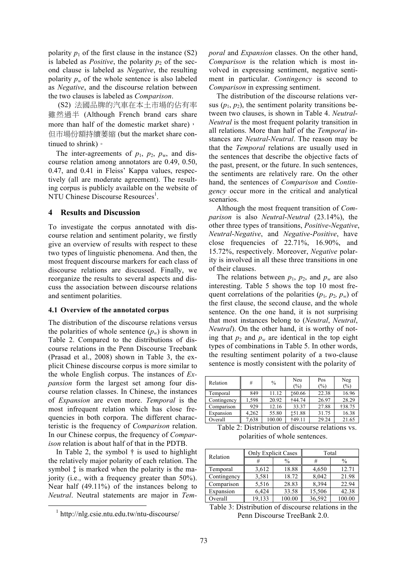polarity  $p_1$  of the first clause in the instance (S2) is labeled as *Positive*, the polarity  $p_2$  of the second clause is labeled as *Negative*, the resulting polarity  $p_w$  of the whole sentence is also labeled as *Negative*, and the discourse relation between the two clauses is labeled as *Comparison*.

(S2) 法國品牌的汽車在本土市場的佔有率 雖然過半 (Although French brand cars share more than half of the domestic market share), 但市場份額持續萎縮 (but the market share continued to shrink)。

The inter-agreements of  $p_1$ ,  $p_2$ ,  $p_w$ , and discourse relation among annotators are 0.49, 0.50, 0.47, and 0.41 in Fleiss' Kappa values, respectively (all are moderate agreement). The resulting corpus is publicly available on the website of NTU Chinese Discourse Resources<sup>1</sup>.

## **4 Results and Discussion**

To investigate the corpus annotated with discourse relation and sentiment polarity, we firstly give an overview of results with respect to these two types of linguistic phenomena. And then, the most frequent discourse markers for each class of discourse relations are discussed. Finally, we reorganize the results to several aspects and discuss the association between discourse relations and sentiment polarities.

## **4.1 Overview of the annotated corpus**

The distribution of the discourse relations versus the polarities of whole sentence  $(p_w)$  is shown in Table 2. Compared to the distributions of discourse relations in the Penn Discourse Treebank (Prasad et al., 2008) shown in Table 3, the explicit Chinese discourse corpus is more similar to the whole English corpus. The instances of *Expansion* form the largest set among four discourse relation classes. In Chinese, the instances of *Expansion* are even more. *Temporal* is the most infrequent relation which has close frequencies in both corpora. The different characteristic is the frequency of *Comparison* relation. In our Chinese corpus, the frequency of *Comparison* relation is about half of that in the PDTB.

In Table 2, the symbol  $\dagger$  is used to highlight the relatively major polarity of each relation. The symbol  $\ddagger$  is marked when the polarity is the majority (i.e., with a frequency greater than 50%). Near half (49.11%) of the instances belong to *Neutral*. Neutral statements are major in *Tem-* *poral* and *Expansion* classes. On the other hand, *Comparison* is the relation which is most involved in expressing sentiment, negative sentiment in particular. *Contingency* is second to *Comparison* in expressing sentiment.

The distribution of the discourse relations versus  $(p_1, p_2)$ , the sentiment polarity transitions between two clauses, is shown in Table 4. *Neutral*-*Neutral* is the most frequent polarity transition in all relations. More than half of the *Temporal* instances are *Neutral*-*Neutral*. The reason may be that the *Temporal* relations are usually used in the sentences that describe the objective facts of the past, present, or the future. In such sentences, the sentiments are relatively rare. On the other hand, the sentences of *Comparison* and *Contingency* occur more in the critical and analytical scenarios.

Although the most frequent transition of *Comparison* is also *Neutral*-*Neutral* (23.14%), the other three types of transitions, *Positive*-*Negative*, *Neutral*-*Negative*, and *Negative*-*Positive*, have close frequencies of 22.71%, 16.90%, and 15.72%, respectively. Moreover, *Negative* polarity is involved in all these three transitions in one of their clauses.

The relations between  $p_1$ ,  $p_2$ , and  $p_w$  are also interesting. Table 5 shows the top 10 most frequent correlations of the polarities  $(p_1, p_2, p_w)$  of the first clause, the second clause, and the whole sentence. On the one hand, it is not surprising that most instances belong to (*Neutral*, *Neutral*, *Neutral*). On the other hand, it is worthy of noting that  $p_2$  and  $p_w$  are identical in the top eight types of combinations in Table 5. In other words, the resulting sentiment polarity of a two-clause sentence is mostly consistent with the polarity of

| Relation    | #     | $\%$   | Neu<br>$(\%)$ | Pos<br>(%) | Neg<br>$(\%)$ |
|-------------|-------|--------|---------------|------------|---------------|
| Temporal    | 849   | 11.12  | <b>t60.66</b> | 22.38      | 16.96         |
| Contingency | 1.598 | 20.92  | <b>†44.74</b> | 26.97      | 28.29         |
| Comparison  | 929   | 12.16  | 33.37         | 27.88      | <b>†38.75</b> |
| Expansion   | 4,262 | 55.80  | <b>151.88</b> | 31.75      | 16.38         |
| Overall     | 7,638 | 100.00 | †49.11        | 29.24      | 21.65         |

Table 2: Distribution of discourse relations vs. polarities of whole sentences.

| Relation    | <b>Only Explicit Cases</b> |               | Total  |               |  |  |
|-------------|----------------------------|---------------|--------|---------------|--|--|
|             | #                          | $\frac{0}{0}$ | #      | $\frac{0}{0}$ |  |  |
| Temporal    | 3,612                      | 18.88         | 4,650  | 12.71         |  |  |
| Contingency | 3,581                      | 18.72         | 8,042  | 21.98         |  |  |
| Comparison  | 5,516                      | 28.83         | 8,394  | 22.94         |  |  |
| Expansion   | 6,424                      | 33.58         | 15,506 | 42.38         |  |  |
| Overall     | 19,133                     | 100.00        | 36,592 | 100.00        |  |  |

Table 3: Distribution of discourse relations in the Penn Discourse TreeBank 2.0.

<sup>&</sup>lt;sup>1</sup> http://nlg.csie.ntu.edu.tw/ntu-discourse/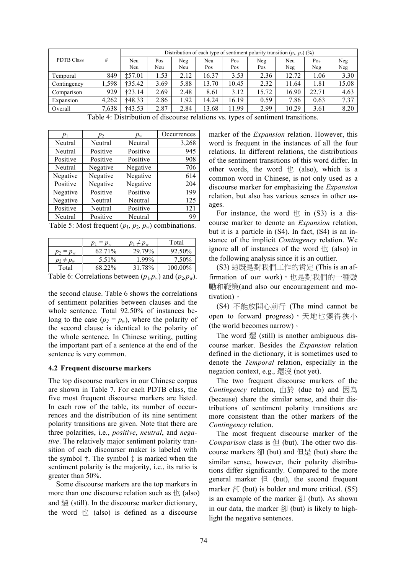|                   |       | Distribution of each type of sentiment polarity transition $(p_1, p_2)$ (%) |      |      |       |       |       |       |       |       |
|-------------------|-------|-----------------------------------------------------------------------------|------|------|-------|-------|-------|-------|-------|-------|
| <b>PDTB Class</b> | #     | Neu                                                                         | Pos  | Neg  | Neu   | Pos   | Neg   | Neu   | Pos   | Neg   |
|                   |       | Neu                                                                         | Neu  | Neu  | Pos   | Pos   | Pos   | Neg   | Neg   | Neg   |
| Temporal          | 849   | <b>t57.01</b>                                                               | .53  | 2.12 | 16.37 | 3.53  | 2.36  | 12.72 | 1.06  | 3.30  |
| Contingency       | .598  | †35.42                                                                      | 3.69 | 5.88 | 13.70 | 10.45 | 2.32  | 11.64 | 1.81  | 15.08 |
| Comparison        | 929   | †23.14                                                                      | 2.69 | 2.48 | 8.61  | 3.12  | 15.72 | 16.90 | 22.71 | 4.63  |
| Expansion         | 4.262 | †48.33                                                                      | 2.86 | .92  | 14.24 | 16.19 | 0.59  | 7.86  | 0.63  | 7.37  |
| Overall           | .638  | †43.53                                                                      | 2.87 | 2.84 | 13.68 | 11.99 | 2.99  | 10.29 | 3.61  | 8.20  |

Table 4: Distribution of discourse relations vs. types of sentiment transitions.

|          | v        | $p_w$    | Occurrences |
|----------|----------|----------|-------------|
| Neutral  | Neutral  | Neutral  | 3,268       |
| Neutral  | Positive | Positive | 945         |
| Positive | Positive | Positive | 908         |
| Neutral  | Negative | Negative | 706         |
| Negative | Negative | Negative | 614         |
| Positive | Negative | Negative | 204         |
| Negative | Positive | Positive | 199         |
| Negative | Neutral  | Neutral  | 125         |
| Positive | Neutral  | Positive | 121         |
| Neutral  | Positive | Neutral  | 99          |

Table 5: Most frequent  $(p_1, p_2, p_w)$  combinations.

|               | $p_w$              | $p_1 \neq p_w$ | Total   |
|---------------|--------------------|----------------|---------|
| $p_2 = p_w$   | 62.71 <sup>%</sup> | 29.79%         | 92.50%  |
| $p_2\neq p_w$ | 5.51%              | 1.99%          | 7.50%   |
| Total         | 68 22%             | 31.78%         | 100.00% |

Table 6: Correlations between  $(p_1, p_w)$  and  $(p_2, p_w)$ .

the second clause. Table 6 shows the correlations of sentiment polarities between clauses and the whole sentence. Total 92.50% of instances belong to the case  $(p_2 = p_w)$ , where the polarity of the second clause is identical to the polarity of the whole sentence. In Chinese writing, putting the important part of a sentence at the end of the sentence is very common.

## **4.2 Frequent discourse markers**

The top discourse markers in our Chinese corpus are shown in Table 7. For each PDTB class, the five most frequent discourse markers are listed. In each row of the table, its number of occurrences and the distribution of its nine sentiment polarity transitions are given. Note that there are three polarities, i.e., *positive*, *neutral*, and *negative*. The relatively major sentiment polarity transition of each discourser maker is labeled with the symbol †. The symbol ‡ is marked when the sentiment polarity is the majority, i.e., its ratio is greater than 50%.

Some discourse markers are the top markers in more than one discourse relation such as  $\pm$  (also) and 還 (still). In the discourse marker dictionary, the word  $\pm$  (also) is defined as a discourse

marker of the *Expansion* relation. However, this word is frequent in the instances of all the four relations. In different relations, the distributions of the sentiment transitions of this word differ. In other words, the word  $\pm$  (also), which is a common word in Chinese, is not only used as a discourse marker for emphasizing the *Expansion* relation, but also has various senses in other usages.

For instance, the word  $\pm \pi$  in (S3) is a discourse marker to denote an *Expansion* relation, but it is a particle in (S4). In fact, (S4) is an instance of the implicit *Contingency* relation. We ignore all of instances of the word  $\pm$  (also) in the following analysis since it is an outlier.

(S3) 這既是對我們工作的肯定 (This is an affirmation of our work), 也是對我們的一種鼓 勵和鞭策(and also our encouragement and motivation)。

(S4) 不能放開心前行 (The mind cannot be open to forward progress), 天地也變得狹小 (the world becomes narrow)。

The word 澴 (still) is another ambiguous discourse marker. Besides the *Expansion* relation defined in the dictionary, it is sometimes used to denote the *Temporal* relation, especially in the negation context, e.g., 還沒 (not yet).

The two frequent discourse markers of the *Contingency* relation, 由於 (due to) and 因為 (because) share the similar sense, and their distributions of sentiment polarity transitions are more consistent than the other markers of the *Contingency* relation.

The most frequent discourse marker of the *Comparison* class is  $\text{E}$  (but). The other two discourse markers 卻 (but) and 但是 (but) share the similar sense, however, their polarity distributions differ significantly. Compared to the more general marker  $( \underline{H} )$  (but), the second frequent marker  $\hat{A}$  (but) is bolder and more critical. (S5) is an example of the marker  $\hat{A}$  (but). As shown in our data, the marker  $\hat{A}$  (but) is likely to highlight the negative sentences.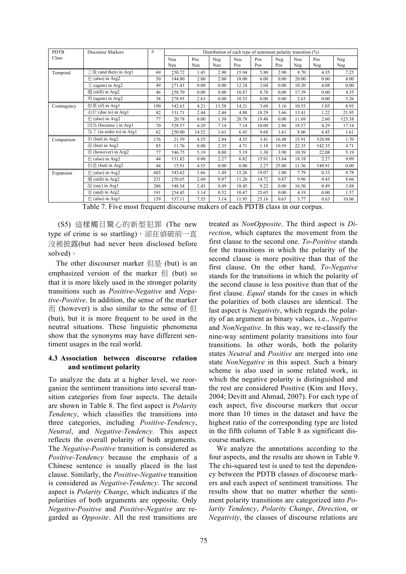| <b>PDTB</b> | <b>Discourse Markers</b>         | #   |               |       |       | Distribution of each type of sentiment polarity transition $(\%)$ |       |       |       |               |        |
|-------------|----------------------------------|-----|---------------|-------|-------|-------------------------------------------------------------------|-------|-------|-------|---------------|--------|
| Class       |                                  |     | Neu           | Pos   | Neg   | Neu                                                               | Pos   | Neg   | Neu   | Pos           | Neg    |
|             |                                  |     | Neu           | Neu   | Neu   | Pos                                                               | Pos   | Pos   | Neg   | Neg           | Neg    |
| Temporal    | 之後 (and then) in Arg1            | 69  | 150.72        | 1.45  | 2.90  | 15.94                                                             | 5.80  | 2.90  | 8.70  | 4.35          | 7.25   |
|             | $#$ (also) in Arg2               | 50  | <b>†44.00</b> | 2.00  | 2.00  | 18.00                                                             | 6.00  | 0.00  | 20.00 | 0.00          | 8.00   |
|             | $\chi$ (again) in Arg2           | 49  | 171.43        | 0.00  | 0.00  | 12.24                                                             | 2.04  | 0.00  | 10.20 | 4.08          | 0.00   |
|             | 還 (still) in Arg2                | 46  | 158.70        | 0.00  | 0.00  | 10.87                                                             | 8.70  | 0.00  | 17.39 | 0.00          | 4.35   |
|             | $\overline{p}$ (again) in Arg2   | 38  | 178.95        | 2.63  | 0.00  | 10.53                                                             | 0.00  | 0.00  | 2.63  | 0.00          | 5.26   |
| Contingency | 如果 (if) in Arg1                  | 190 | †42.63        | 4.21  | 11.58 | 14.21                                                             | 3.68  | 3.16  | 10.53 | 1.05          | 8.95   |
|             | 由於 (due to) in Arg1              | 82  | †31.71        | 2.44  | 2.44  | 4.88                                                              | 18.29 | 3.66  | 13.41 | 1.22          | 21.95  |
|             | $#$ (also) in Arg2               | 77  | 20.78         | 0.00  | 1.30  | 20.78                                                             | 19.48 | 0.00  | 11.69 | 2.60          | †23.38 |
|             | 因為 (because) in Arg1             | 70  | †28.57        | 4.29  | 7.14  | 7.14                                                              | 10.00 | 2.86  | 18.57 | 4.29          | 17.14  |
|             | 為了 (in order to) in Arg1         | 62  | 150.00        | 14.52 | 1.61  | 6.45                                                              | 9.68  | 1.61  | 8.06  | 6.45          | 1.61   |
| Comparison  | $(1)$ (but) in Arg2              | 176 | 21.59         | 4.55  | 2.84  | 4.55                                                              | 3.41  | 16.48 | 15.91 | <b>†28.98</b> | 1.70   |
|             | $\hat{a}$ (but) in Arg2          | 85  | 11.76         | 0.00  | 2.35  | 4.71                                                              | 1.18  | 10.59 | 22.35 | †42.35        | 4.71   |
|             | $\overline{m}$ (however) in Arg2 | 77  | †46.75        | 5.19  | 0.00  | 5.19                                                              | 1.30  | 3.90  | 10.39 | 22.08         | 5.19   |
|             | $#$ (also) in Arg2               | 44  | †31.82        | 0.00  | 2.27  | 6.82                                                              | 15.91 | 13.64 | 18.18 | 2.27          | 9.09   |
|             | 但是 (but) in Arg2                 | 44  | 15.91         | 4.55  | 0.00  | 0.00                                                              | 2.27  | 25.00 | 11.36 | <b>†40.91</b> | 0.00   |
| Expansion   | $#$ (also) in Arg2               | 603 | †43.62        | 1.66  | 1.49  | 15.26                                                             | 19.07 | 1.00  | 7.79  | 0.33          | 9.78   |
|             | 還 (still) in Arg2                | 231 | 150.65        | 2.60  | 0.87  | 11.26                                                             | 14.72 | 0.87  | 9.96  | 0.43          | 8.66   |
|             | 說 (say) in Arg1                  | 206 | †48.54        | 2.43  | 0.49  | 18.45                                                             | 9.22  | 0.00  | 16.50 | 0.49          | 3.88   |
|             | $\pm$ (and) in Arg2              | 191 | 154.45        | 3.14  | 0.52  | 10.47                                                             | 25.65 | 0.00  | 4.19  | 0.00          | 1.57   |
|             | $\#$ (also) in Arg1              | 159 | †37.11        | 7.55  | 3.14  | 11.95                                                             | 25.16 | 0.63  | 3.77  | 0.63          | 10.06  |

Table 7. Five most frequent discourse makers of each PDTB class in our corpus.

(S5) 這樣觸目驚心的新型犯罪 (The new type of crime is so startling), 卻在偵破前一直 沒被披露(but had never been disclosed before solved)。

The other discourser marker  $E(E)$  (but) is an emphasized version of the marker  $\left( \frac{\pi}{2} \right)$  (but) so that it is more likely used in the stronger polarity transitions such as *Positive*-*Negative* and *Negative*-*Positive*. In addition, the sense of the marker  $\overline{m}$  (however) is also similar to the sense of  $\underline{H}$ (but), but it is more frequent to be used in the neutral situations. These linguistic phenomena show that the synonyms may have different sentiment usages in the real world.

## **4.3 Association between discourse relation and sentiment polarity**

To analyze the data at a higher level, we reorganize the sentiment transitions into several transition categories from four aspects. The details are shown in Table 8. The first aspect is *Polarity Tendency*, which classifies the transitions into three categories, including *Positive-Tendency*, *Neutral*, and *Negative-Tendency*. This aspect reflects the overall polarity of both arguments. The *Negative*-*Positive* transition is considered as *Positive*-*Tendency* because the emphasis of a Chinese sentence is usually placed in the last clause. Similarly, the *Positive*-*Negative* transition is considered as *Negative*-*Tendency*. The second aspect is *Polarity Change*, which indicates if the polarities of both arguments are opposite. Only *Negative*-*Positive* and *Positive*-*Negative* are regarded as *Opposite*. All the rest transitions are treated as *NonOpposite*. The third aspect is *Direction*, which captures the movement from the first clause to the second one. *To*-*Positive* stands for the transitions in which the polarity of the second clause is more positive than that of the first clause. On the other hand, *To*-*Negative* stands for the transitions in which the polarity of the second clause is less positive than that of the first clause. *Equal* stands for the cases in which the polarities of both clauses are identical. The last aspect is *Negativity*, which regards the polarity of an argument as binary values, i.e., *Negative* and *NonNegative*. In this way, we re-classify the nine-way sentiment polarity transitions into four transitions. In other words, both the polarity states *Neutral* and *Positive* are merged into one state *NonNegative* in this aspect. Such a binary scheme is also used in some related work, in which the negative polarity is distinguished and the rest are considered Positive (Kim and Hovy, 2004; Devitt and Ahmad, 2007). For each type of each aspect, five discourse markers that occur more than 10 times in the dataset and have the highest ratio of the corresponding type are listed in the fifth column of Table 8 as significant discourse markers.

We analyze the annotations according to the four aspects, and the results are shown in Table 9. The chi-squared test is used to test the dependency between the PDTB classes of discourse markers and each aspect of sentiment transitions. The results show that no matter whether the sentiment polarity transitions are categorized into *Polarity Tendency*, *Polarity Change*, *Direction*, or *Negativity*, the classes of discourse relations are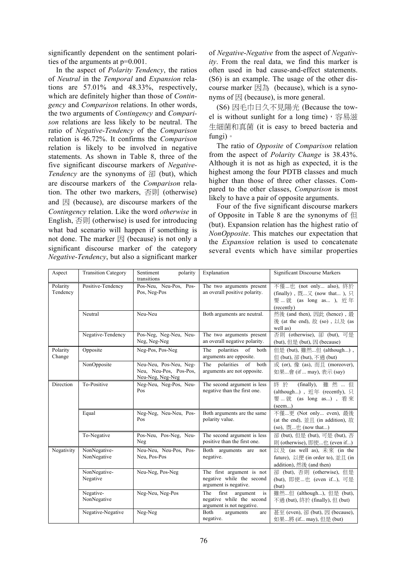significantly dependent on the sentiment polarities of the arguments at p=0.001.

In the aspect of *Polarity Tendency*, the ratios of *Neutral* in the *Temporal* and *Expansion* relations are 57.01% and 48.33%, respectively, which are definitely higher than those of *Contingency* and *Comparison* relations. In other words, the two arguments of *Contingency* and *Comparison* relations are less likely to be neutral. The ratio of *Negative-Tendency* of the *Comparison* relation is 46.72%. It confirms the *Comparison* relation is likely to be involved in negative statements. As shown in Table 8, three of the five significant discourse markers of *Negative-Tendency* are the synonyms of 卻 (but), which are discourse markers of the *Comparison* relation. The other two markers, 否則 (otherwise) and  $\boxtimes$  (because), are discourse markers of the *Contingency* relation. Like the word *otherwise* in English, 否則 (otherwise) is used for introducing what bad scenario will happen if something is not done. The marker  $\mathbb R$  (because) is not only a significant discourse marker of the category *Negative-Tendency*, but also a significant marker

of *Negative*-*Negative* from the aspect of *Negativity*. From the real data, we find this marker is often used in bad cause-and-effect statements. (S6) is an example. The usage of the other discourse marker  $\boxtimes \frac{1}{m}$  (because), which is a synonyms of  $\boxtimes$  (because), is more general.

(S6) 因毛巾日久不見陽光 (Because the towel is without sunlight for a long time), 容易滋 生細菌和真菌 (it is easy to breed bacteria and fungi)。

The ratio of *Opposite* of *Comparison* relation from the aspect of *Polarity Change* is 38.43%. Although it is not as high as expected, it is the highest among the four PDTB classes and much higher than those of three other classes. Compared to the other classes, *Comparison* is most likely to have a pair of opposite arguments.

Four of the five significant discourse markers of Opposite in Table 8 are the synonyms of  $\Box$ (but). Expansion relation has the highest ratio of *NonOpposite*. This matches our expectation that the *Expansion* relation is used to concatenate several events which have similar properties

| Aspect               | <b>Transition Category</b>  | Sentiment<br>polarity<br>transitions                                 | Explanation                                                                                          | <b>Significant Discourse Markers</b>                                                                          |
|----------------------|-----------------------------|----------------------------------------------------------------------|------------------------------------------------------------------------------------------------------|---------------------------------------------------------------------------------------------------------------|
| Polarity<br>Tendency | Positive-Tendency           | Pos-Neu, Neu-Pos, Pos-<br>Pos, Neg-Pos                               | The two arguments present<br>an overall positive polarity.                                           | 不僅也 (not only also), 終於<br>(finally), 既…又 (now that), 只<br>要…就 (as long as ), 近年<br>(recently)                |
|                      | Neutral                     | Neu-Neu                                                              | Both arguments are neutral.                                                                          | 然後 (and then), 因此 (hence), 最<br>後 (at the end), 故 (so), 以及 (as<br>well as)                                    |
|                      | Negative-Tendency           | Pos-Neg, Neg-Neu, Neu-<br>Neg, Neg-Neg                               | The two arguments present<br>an overall negative polarity.                                           | 否則 (otherwise), 卻 (but), 可是<br>(but), $E\not\equiv$ (but), $E\not\equiv$ (because)                            |
| Polarity<br>Change   | Opposite                    | Neg-Pos, Pos-Neg                                                     | The<br>polarities of both<br>arguments are opposite.                                                 | 但是 (but), 雖然但 (although),<br>但 (but), 卻 (but), 不過 (but)                                                       |
|                      | NonOpposite                 | Neu-Neu, Pos-Neu, Neg-<br>Neu, Neu-Pos, Pos-Pos,<br>Neu-Neg, Neg-Neg | of<br>polarities<br>both<br>The<br>arguments are not opposite.                                       | 或 (or), 像 (as), 而且 (moreover),<br>如果會 (if  may), 表示 (say)                                                     |
| Direction            | To-Positive                 | Neg-Neu, Neg-Pos, Neu-<br>Pos                                        | The second argument is less<br>negative than the first one.                                          | (finally), 雖然  但<br>終於<br>(although), 近年 (recently), 只<br>要…就 (as long as), 看來<br>(seem)                      |
|                      | Equal                       | Neg-Neg, Neu-Neu, Pos-<br>Pos                                        | Both arguments are the same<br>polarity value.                                                       | 不僅更 (Not only even), 最後<br>(at the end), $\vec{w}$ $\vec{E}$ (in addition), $\dot{E}$<br>(so), 既…也 (now that) |
|                      | To-Negative                 | Pos-Neu, Pos-Neg, Neu-<br>Neg                                        | The second argument is less<br>positive than the first one.                                          | 卻 (but), 但是 (but), 可是 (but), 否<br>則 (otherwise), 即使也 (even if)                                                |
| Negativity           | NonNegative-<br>NonNegative | Neu-Neu, Neu-Pos, Pos-<br>Neu, Pos-Pos                               | Both arguments are not<br>negative.                                                                  | 以及 (as well as), 未來 (in the<br>future), 以便 (in order to), 並且 (in<br>addition), 然後 (and then)                  |
|                      | NonNegative-<br>Negative    | Neu-Neg, Pos-Neg                                                     | The first argument is not<br>negative while the second<br>argument is negative.                      | 卻 (but), 否則 (otherwise), 但是<br>(but), 即使也 (even if), 可是<br>(but)                                              |
|                      | Negative-<br>NonNegative    | Neg-Neu, Neg-Pos                                                     | The<br>first<br>argument<br><sub>1</sub> S<br>negative while the second<br>argument is not negative. | 雖然但 (although), 但是 (but),<br>不過 (but), 終於 (finally), 但 (but)                                                  |
|                      | Negative-Negative           | Neg-Neg                                                              | Both<br>arguments<br>are<br>negative.                                                                | 甚至 (even), 卻 (but), 因 (because),<br>如果將 (if may), 但是 (but)                                                    |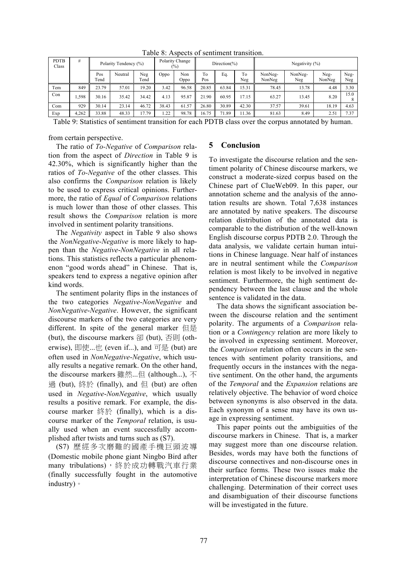| <b>PDTB</b><br>Class | #     | Polarity Tendency (%) |         | Polarity Change<br>Direction(%)<br>$(\%)$ |       |             | Negativity $(\%)$ |       |           |                   |                |                |             |
|----------------------|-------|-----------------------|---------|-------------------------------------------|-------|-------------|-------------------|-------|-----------|-------------------|----------------|----------------|-------------|
|                      |       | Pos<br>Tend           | Neutral | Neg<br>Tend                               | Oppo  | Non<br>Oppo | To<br>Pos         | Eq    | To<br>Neg | NonNeg-<br>NonNeg | NonNeg-<br>Neg | Neg-<br>NonNeg | Neg-<br>Neg |
| Tem                  | 849   | 23.79                 | 57.01   | 19.20                                     | 3.42  | 96.58       | 20.85             | 63.84 | 15.31     | 78.45             | 13.78          | 4.48           | 3.30        |
| Con                  | .598  | 30.16                 | 35.42   | 34.42                                     | 4.13  | 95.87       | 21.90             | 60.95 | 17.15     | 63.27             | 13.45          | 8.20           | 15.0        |
| Com                  | 929   | 30.14                 | 23.14   | 46.72                                     | 38.43 | 61.57       | 26.80             | 30.89 | 42.30     | 37.57             | 39.61          | 18.19          | 4.63        |
| Exp                  | 4,262 | 33.88                 | 48.33   | 17.79                                     | 1.22  | 98.78       | 16.75             | 71.89 | 1.36      | 81.63             | 8.49           | 2.51           | 7.37        |

Table 8: Aspects of sentiment transition.

Table 9: Statistics of sentiment transition for each PDTB class over the corpus annotated by human.

from certain perspective.

The ratio of *To-Negative* of *Comparison* relation from the aspect of *Direction* in Table 9 is 42.30%, which is significantly higher than the ratios of *To-Negative* of the other classes. This also confirms the *Comparison* relation is likely to be used to express critical opinions. Furthermore, the ratio of *Equal* of *Comparison* relations is much lower than those of other classes. This result shows the *Comparison* relation is more involved in sentiment polarity transitions.

The *Negativity* aspect in Table 9 also shows the *NonNegative*-*Negative* is more likely to happen than the *Negative*-*NonNegative* in all relations. This statistics reflects a particular phenomenon "good words ahead" in Chinese. That is, speakers tend to express a negative opinion after kind words.

The sentiment polarity flips in the instances of the two categories *Negative*-*NonNegative* and *NonNegative*-*Negative*. However, the significant discourse markers of the two categories are very different. In spite of the general marker 但是 (but), the discourse markers 卻 (but), 否則 (otherwise), 即使...廿 (even if...), and 可是 (but) are often used in *NonNegative*-*Negative*, which usually results a negative remark. On the other hand, the discourse markers 雖然...但 (although...), 不 過 (but), 終於 (finally), and 但 (but) are often used in *Negative*-*NonNegative*, which usually results a positive remark. For example, the discourse marker 終於 (finally), which is a discourse marker of the *Temporal* relation, is usually used when an event successfully accomplished after twists and turns such as (S7).

(S7) 歷經多次磨難的國產手機巨頭波導 (Domestic mobile phone giant Ningbo Bird after many tribulations),終於成功轉戰汽車行業 (finally successfully fought in the automotive industry)。

## **5 Conclusion**

To investigate the discourse relation and the sentiment polarity of Chinese discourse markers, we construct a moderate-sized corpus based on the Chinese part of ClueWeb09. In this paper, our annotation scheme and the analysis of the annotation results are shown. Total 7,638 instances are annotated by native speakers. The discourse relation distribution of the annotated data is comparable to the distribution of the well-known English discourse corpus PDTB 2.0. Through the data analysis, we validate certain human intuitions in Chinese language. Near half of instances are in neutral sentiment while the *Comparison* relation is most likely to be involved in negative sentiment. Furthermore, the high sentiment dependency between the last clause and the whole sentence is validated in the data.

The data shows the significant association between the discourse relation and the sentiment polarity. The arguments of a *Comparison* relation or a *Contingency* relation are more likely to be involved in expressing sentiment. Moreover, the *Comparison* relation often occurs in the sentences with sentiment polarity transitions, and frequently occurs in the instances with the negative sentiment. On the other hand, the arguments of the *Temporal* and the *Expansion* relations are relatively objective. The behavior of word choice between synonyms is also observed in the data. Each synonym of a sense may have its own usage in expressing sentiment.

This paper points out the ambiguities of the discourse markers in Chinese. That is, a marker may suggest more than one discourse relation. Besides, words may have both the functions of discourse connectives and non-discourse ones in their surface forms. These two issues make the interpretation of Chinese discourse markers more challenging. Determination of their correct uses and disambiguation of their discourse functions will be investigated in the future.